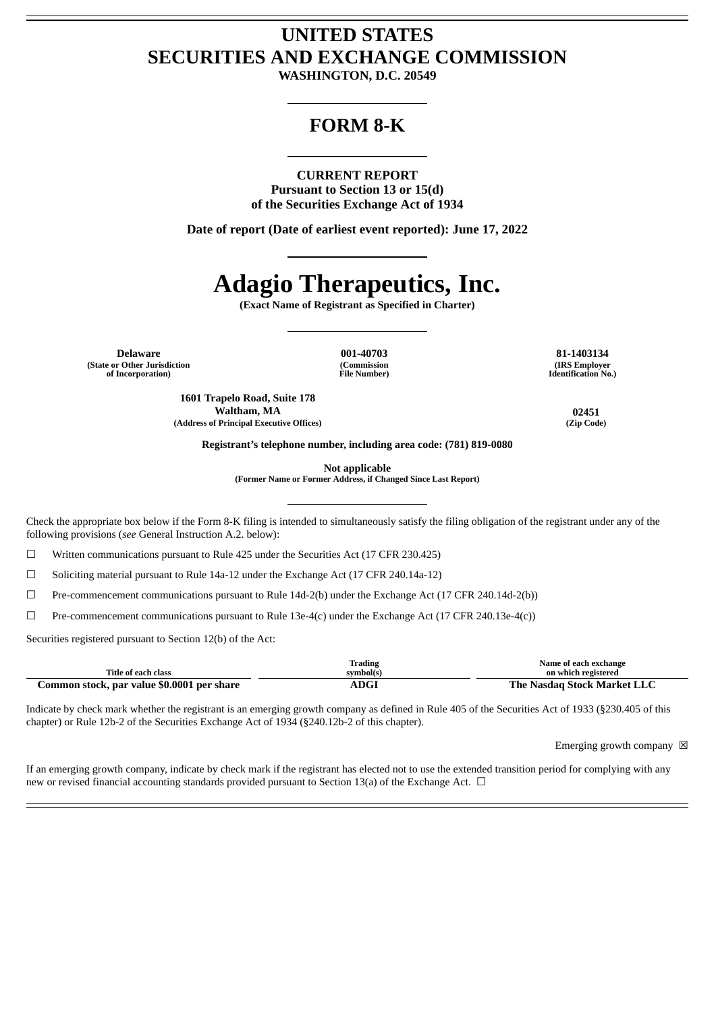## **UNITED STATES SECURITIES AND EXCHANGE COMMISSION**

**WASHINGTON, D.C. 20549**

### **FORM 8-K**

### **CURRENT REPORT**

**Pursuant to Section 13 or 15(d) of the Securities Exchange Act of 1934**

**Date of report (Date of earliest event reported): June 17, 2022**

# **Adagio Therapeutics, Inc.**

**(Exact Name of Registrant as Specified in Charter)**

**Delaware 001-40703 81-1403134 (State or Other Jurisdiction of Incorporation)**

**(Commission File Number)**

**(IRS Employer Identification No.)**

**1601 Trapelo Road, Suite 178 Waltham, MA 02451 (Address of Principal Executive Offices) (Zip Code)**

**Registrant's telephone number, including area code: (781) 819-0080**

**Not applicable**

**(Former Name or Former Address, if Changed Since Last Report)**

Check the appropriate box below if the Form 8-K filing is intended to simultaneously satisfy the filing obligation of the registrant under any of the following provisions (*see* General Instruction A.2. below):

☐ Written communications pursuant to Rule 425 under the Securities Act (17 CFR 230.425)

☐ Soliciting material pursuant to Rule 14a-12 under the Exchange Act (17 CFR 240.14a-12)

☐ Pre-commencement communications pursuant to Rule 14d-2(b) under the Exchange Act (17 CFR 240.14d-2(b))

 $\Box$  Pre-commencement communications pursuant to Rule 13e-4(c) under the Exchange Act (17 CFR 240.13e-4(c))

Securities registered pursuant to Section 12(b) of the Act:

|                                            | Frading   | Name of each exchange       |
|--------------------------------------------|-----------|-----------------------------|
| <b>Title of each class</b>                 | symbol(s) | on which registered         |
| Common stock, par value \$0.0001 per share | ADGI      | The Nasdag Stock Market LLC |

Indicate by check mark whether the registrant is an emerging growth company as defined in Rule 405 of the Securities Act of 1933 (§230.405 of this chapter) or Rule 12b-2 of the Securities Exchange Act of 1934 (§240.12b-2 of this chapter).

Emerging growth company  $\boxtimes$ 

If an emerging growth company, indicate by check mark if the registrant has elected not to use the extended transition period for complying with any new or revised financial accounting standards provided pursuant to Section 13(a) of the Exchange Act.  $\Box$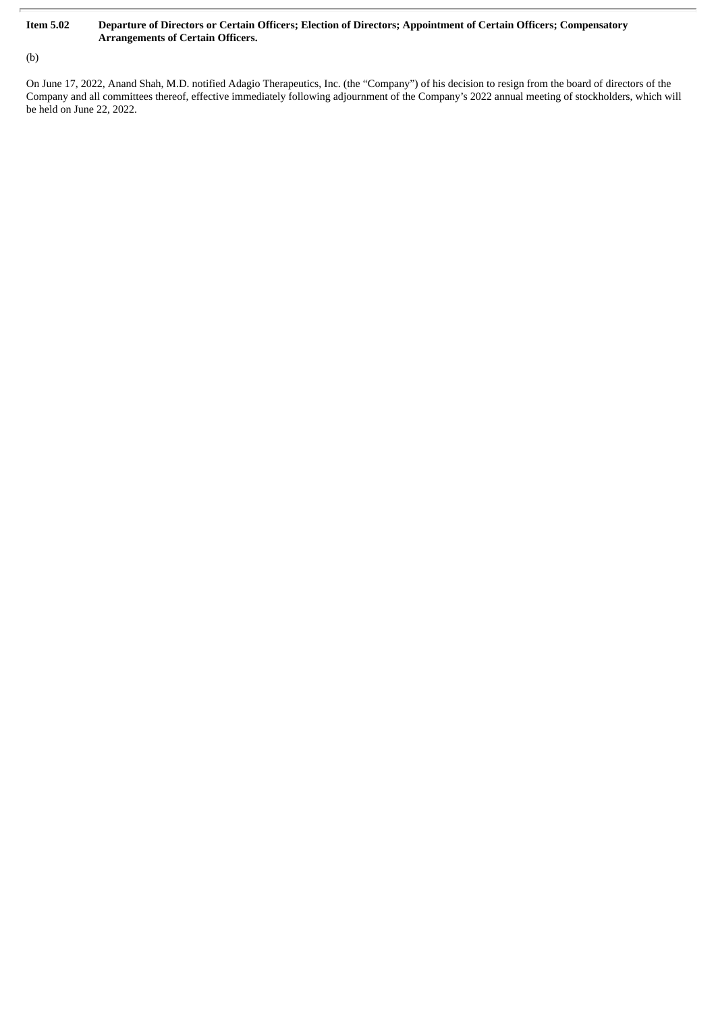### Item 5.02 Departure of Directors or Certain Officers; Election of Directors; Appointment of Certain Officers; Compensatory **Arrangements of Certain Officers.**

(b)

On June 17, 2022, Anand Shah, M.D. notified Adagio Therapeutics, Inc. (the "Company") of his decision to resign from the board of directors of the Company and all committees thereof, effective immediately following adjournment of the Company's 2022 annual meeting of stockholders, which will be held on June 22, 2022.